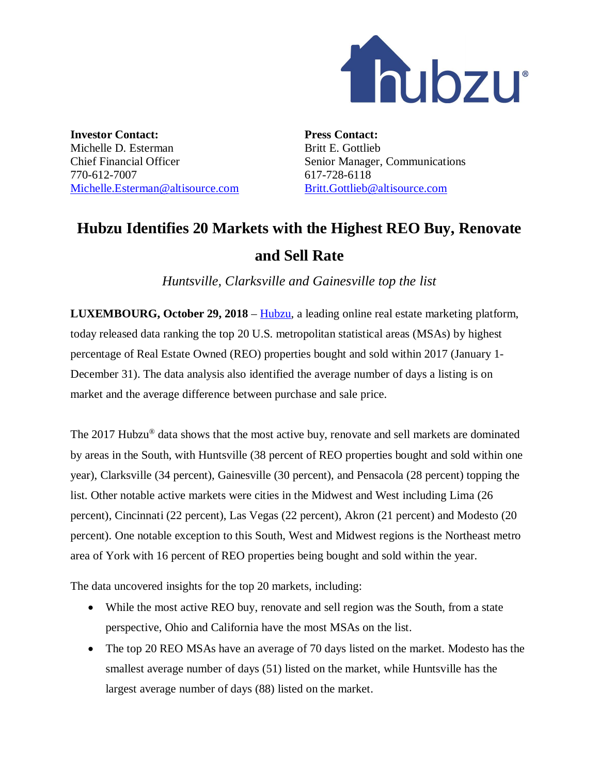

**Investor Contact:** Michelle D. Esterman Chief Financial Officer 770-612-7007 Michelle.Esterman@altisource.com **Press Contact:** Britt E. Gottlieb Senior Manager, Communications 617-728-6118 Britt.Gottlieb@altisource.com

## **Hubzu Identifies 20 Markets with the Highest REO Buy, Renovate and Sell Rate**

*Huntsville, Clarksville and Gainesville top the list*

**LUXEMBOURG, October 29, 2018** – Hubzu, a leading online real estate marketing platform, today released data ranking the top 20 U.S. metropolitan statistical areas (MSAs) by highest percentage of Real Estate Owned (REO) properties bought and sold within 2017 (January 1- December 31). The data analysis also identified the average number of days a listing is on market and the average difference between purchase and sale price.

The 2017 Hubzu<sup>®</sup> data shows that the most active buy, renovate and sell markets are dominated by areas in the South, with Huntsville (38 percent of REO properties bought and sold within one year), Clarksville (34 percent), Gainesville (30 percent), and Pensacola (28 percent) topping the list. Other notable active markets were cities in the Midwest and West including Lima (26 percent), Cincinnati (22 percent), Las Vegas (22 percent), Akron (21 percent) and Modesto (20 percent). One notable exception to this South, West and Midwest regions is the Northeast metro area of York with 16 percent of REO properties being bought and sold within the year.

The data uncovered insights for the top 20 markets, including:

- While the most active REO buy, renovate and sell region was the South, from a state perspective, Ohio and California have the most MSAs on the list.
- The top 20 REO MSAs have an average of 70 days listed on the market. Modesto has the smallest average number of days (51) listed on the market, while Huntsville has the largest average number of days (88) listed on the market.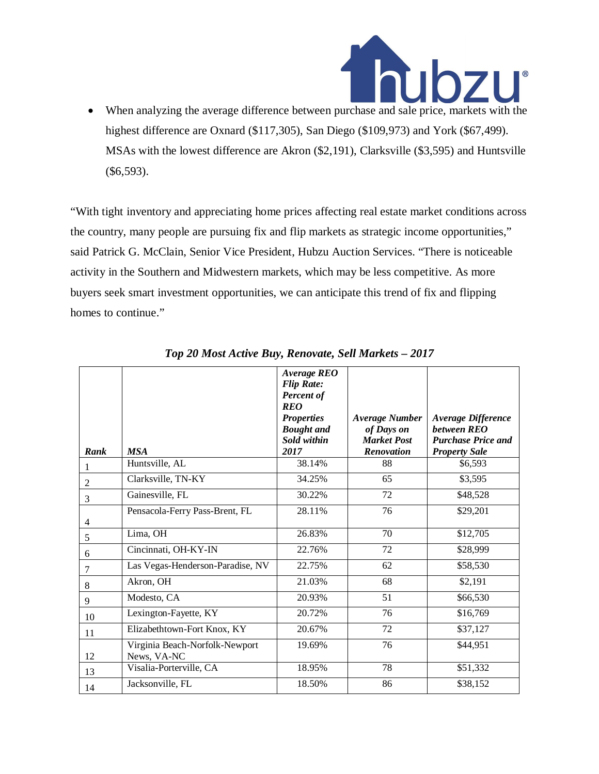

highest difference are Oxnard (\$117,305), San Diego (\$109,973) and York (\$67,499). MSAs with the lowest difference are Akron (\$2,191), Clarksville (\$3,595) and Huntsville (\$6,593).

"With tight inventory and appreciating home prices affecting real estate market conditions across the country, many people are pursuing fix and flip markets as strategic income opportunities," said Patrick G. McClain, Senior Vice President, Hubzu Auction Services. "There is noticeable activity in the Southern and Midwestern markets, which may be less competitive. As more buyers seek smart investment opportunities, we can anticipate this trend of fix and flipping homes to continue."

| Rank           | <b>MSA</b>                                    | Average REO<br><b>Flip Rate:</b><br>Percent of<br><b>REO</b><br><b>Properties</b><br><b>Bought</b> and<br>Sold within<br>2017 | <b>Average Number</b><br>of Days on<br><b>Market Post</b><br>Renovation | Average Difference<br>between REO<br><b>Purchase Price and</b><br><b>Property Sale</b> |
|----------------|-----------------------------------------------|-------------------------------------------------------------------------------------------------------------------------------|-------------------------------------------------------------------------|----------------------------------------------------------------------------------------|
| 1              | Huntsville, AL                                | 38.14%                                                                                                                        | 88                                                                      | \$6,593                                                                                |
| $\overline{2}$ | Clarksville, TN-KY                            | 34.25%                                                                                                                        | 65                                                                      | \$3,595                                                                                |
| 3              | Gainesville, FL                               | 30.22%                                                                                                                        | 72                                                                      | \$48,528                                                                               |
| 4              | Pensacola-Ferry Pass-Brent, FL                | 28.11%                                                                                                                        | 76                                                                      | \$29,201                                                                               |
| 5              | Lima, OH                                      | 26.83%                                                                                                                        | 70                                                                      | \$12,705                                                                               |
| 6              | Cincinnati, OH-KY-IN                          | 22.76%                                                                                                                        | $\overline{72}$                                                         | \$28,999                                                                               |
| 7              | Las Vegas-Henderson-Paradise, NV              | 22.75%                                                                                                                        | 62                                                                      | \$58,530                                                                               |
| 8              | Akron, OH                                     | 21.03%                                                                                                                        | 68                                                                      | \$2,191                                                                                |
| 9              | Modesto, CA                                   | 20.93%                                                                                                                        | 51                                                                      | \$66,530                                                                               |
| 10             | Lexington-Fayette, KY                         | 20.72%                                                                                                                        | 76                                                                      | \$16,769                                                                               |
| 11             | Elizabethtown-Fort Knox, KY                   | 20.67%                                                                                                                        | 72                                                                      | \$37,127                                                                               |
| 12             | Virginia Beach-Norfolk-Newport<br>News, VA-NC | 19.69%                                                                                                                        | 76                                                                      | \$44,951                                                                               |
| 13             | Visalia-Porterville, CA                       | 18.95%                                                                                                                        | 78                                                                      | \$51,332                                                                               |
| 14             | Jacksonville, FL                              | 18.50%                                                                                                                        | 86                                                                      | \$38,152                                                                               |

*Top 20 Most Active Buy, Renovate, Sell Markets – 2017*